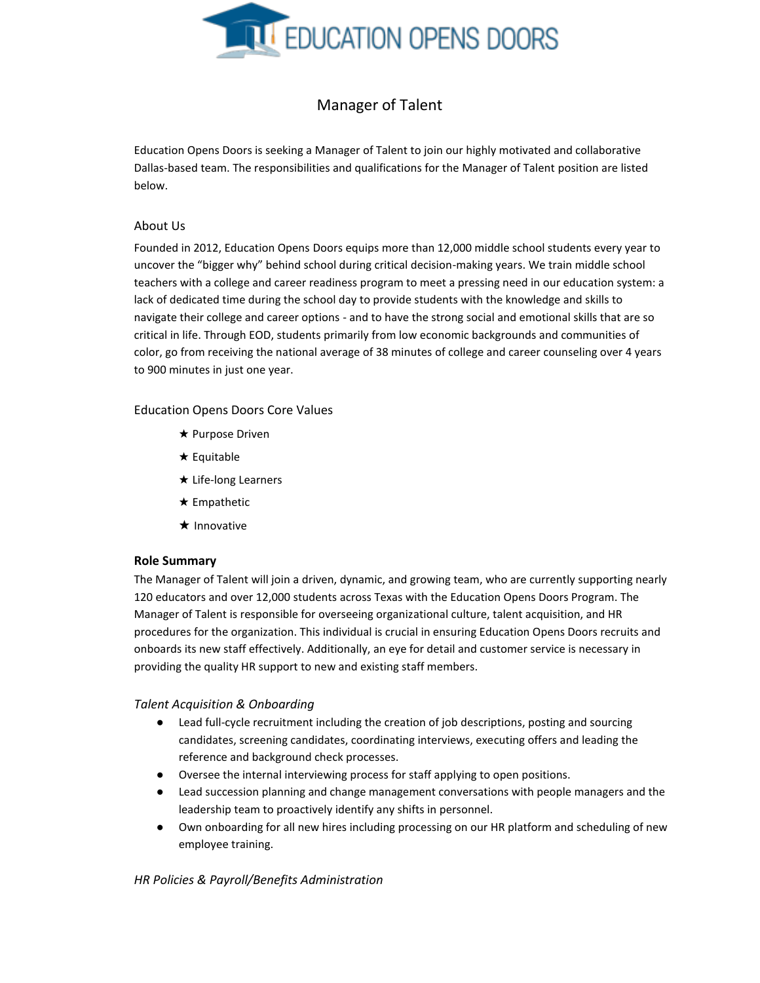

# Manager of Talent

Education Opens Doors is seeking a Manager of Talent to join our highly motivated and collaborative Dallas-based team. The responsibilities and qualifications for the Manager of Talent position are listed below.

## About Us

Founded in 2012, Education Opens Doors equips more than 12,000 middle school students every year to uncover the "bigger why" behind school during critical decision-making years. We train middle school teachers with a college and career readiness program to meet a pressing need in our education system: a lack of dedicated time during the school day to provide students with the knowledge and skills to navigate their college and career options - and to have the strong social and emotional skills that are so critical in life. Through EOD, students primarily from low economic backgrounds and communities of color, go from receiving the national average of 38 minutes of college and career counseling over 4 years to 900 minutes in just one year.

### Education Opens Doors Core Values

- ★ Purpose Driven
- ★ Equitable
- ★ Life-long Learners
- ★ Empathetic
- ★ Innovative

### **Role Summary**

The Manager of Talent will join a driven, dynamic, and growing team, who are currently supporting nearly 120 educators and over 12,000 students across Texas with the Education Opens Doors Program. The Manager of Talent is responsible for overseeing organizational culture, talent acquisition, and HR procedures for the organization. This individual is crucial in ensuring Education Opens Doors recruits and onboards its new staff effectively. Additionally, an eye for detail and customer service is necessary in providing the quality HR support to new and existing staff members.

### *Talent Acquisition & Onboarding*

- Lead full-cycle recruitment including the creation of job descriptions, posting and sourcing candidates, screening candidates, coordinating interviews, executing offers and leading the reference and background check processes.
- Oversee the internal interviewing process for staff applying to open positions.
- Lead succession planning and change management conversations with people managers and the leadership team to proactively identify any shifts in personnel.
- Own onboarding for all new hires including processing on our HR platform and scheduling of new employee training.

### *HR Policies & Payroll/Benefits Administration*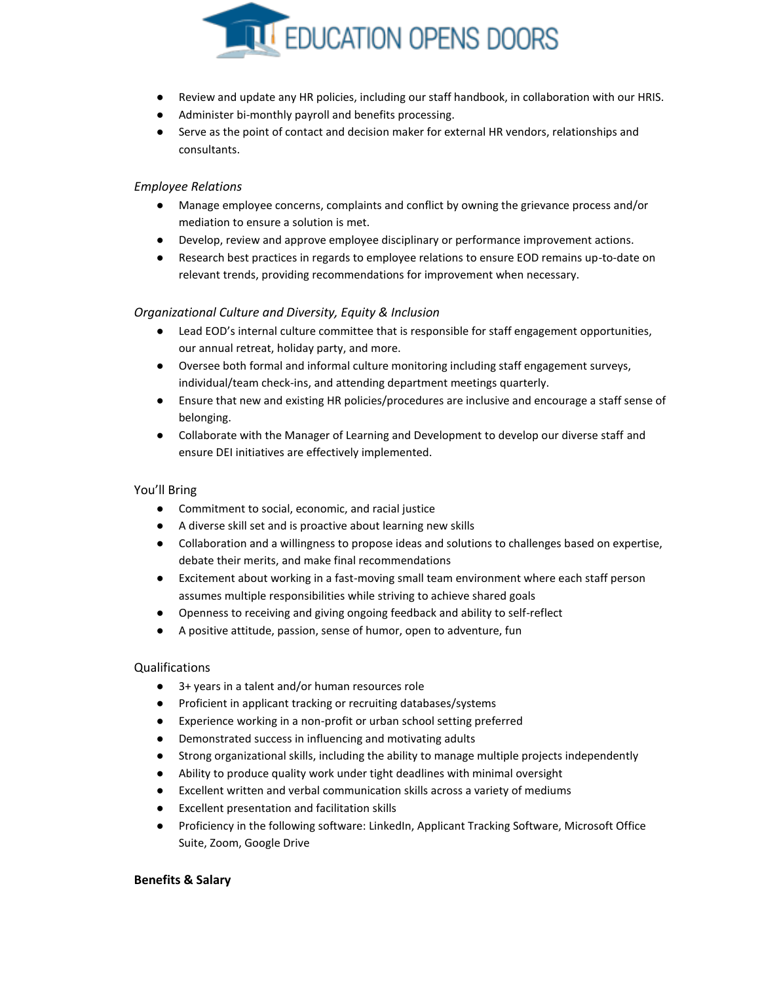

- Review and update any HR policies, including our staff handbook, in collaboration with our HRIS.
- Administer bi-monthly payroll and benefits processing.
- Serve as the point of contact and decision maker for external HR vendors, relationships and consultants.

# *Employee Relations*

- Manage employee concerns, complaints and conflict by owning the grievance process and/or mediation to ensure a solution is met.
- Develop, review and approve employee disciplinary or performance improvement actions.
- Research best practices in regards to employee relations to ensure EOD remains up-to-date on relevant trends, providing recommendations for improvement when necessary.

# *Organizational Culture and Diversity, Equity & Inclusion*

- Lead EOD's internal culture committee that is responsible for staff engagement opportunities, our annual retreat, holiday party, and more.
- Oversee both formal and informal culture monitoring including staff engagement surveys, individual/team check-ins, and attending department meetings quarterly.
- Ensure that new and existing HR policies/procedures are inclusive and encourage a staff sense of belonging.
- Collaborate with the Manager of Learning and Development to develop our diverse staff and ensure DEI initiatives are effectively implemented.

# You'll Bring

- Commitment to social, economic, and racial justice
- A diverse skill set and is proactive about learning new skills
- Collaboration and a willingness to propose ideas and solutions to challenges based on expertise, debate their merits, and make final recommendations
- Excitement about working in a fast-moving small team environment where each staff person assumes multiple responsibilities while striving to achieve shared goals
- Openness to receiving and giving ongoing feedback and ability to self-reflect
- A positive attitude, passion, sense of humor, open to adventure, fun

# Qualifications

- 3+ years in a talent and/or human resources role
- Proficient in applicant tracking or recruiting databases/systems
- Experience working in a non-profit or urban school setting preferred
- Demonstrated success in influencing and motivating adults
- Strong organizational skills, including the ability to manage multiple projects independently
- Ability to produce quality work under tight deadlines with minimal oversight
- Excellent written and verbal communication skills across a variety of mediums
- Excellent presentation and facilitation skills
- Proficiency in the following software: LinkedIn, Applicant Tracking Software, Microsoft Office Suite, Zoom, Google Drive

# **Benefits & Salary**